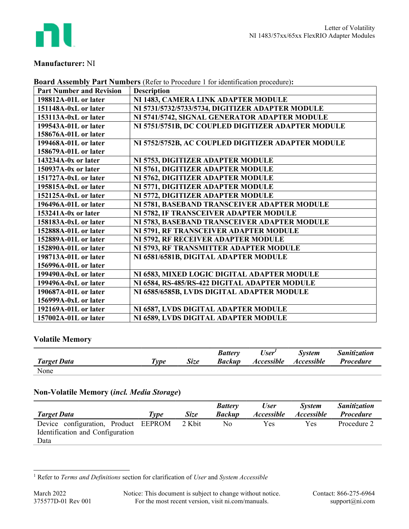

# Manufacturer: NI

| <b>Part Number and Revision</b> | <b>Description</b>                                 |
|---------------------------------|----------------------------------------------------|
| 198812A-01L or later            | NI 1483, CAMERA LINK ADAPTER MODULE                |
| 151148A-0xL or later            | NI 5731/5732/5733/5734, DIGITIZER ADAPTER MODULE   |
| 153113A-0xL or later            | NI 5741/5742, SIGNAL GENERATOR ADAPTER MODULE      |
| 199543A-01L or later            | NI 5751/5751B, DC COUPLED DIGITIZER ADAPTER MODULE |
| 158676A-01L or later            |                                                    |
| 199468A-01L or later            | NI 5752/5752B, AC COUPLED DIGITIZER ADAPTER MODULE |
| 158679A-01L or later            |                                                    |
| 143234A-0x or later             | NI 5753, DIGITIZER ADAPTER MODULE                  |
| 150937A-0x or later             | NI 5761, DIGITIZER ADAPTER MODULE                  |
| 151727A-0xL or later            | NI 5762, DIGITIZER ADAPTER MODULE                  |
| 195815A-0xL or later            | NI 5771, DIGITIZER ADAPTER MODULE                  |
| 152125A-0xL or later            | NI 5772, DIGITIZER ADAPTER MODULE                  |
| 196496A-01L or later            | NI 5781, BASEBAND TRANSCEIVER ADAPTER MODULE       |
| $153241A-0x$ or later           | NI 5782, IF TRANSCEIVER ADAPTER MODULE             |
| 158183A-0xL or later            | NI 5783, BASEBAND TRANSCEIVER ADAPTER MODULE       |
| 152888A-01L or later            | NI 5791, RF TRANSCEIVER ADAPTER MODULE             |
| 152889A-01L or later            | NI 5792, RF RECEIVER ADAPTER MODULE                |
| 152890A-01L or later            | NI 5793, RF TRANSMITTER ADAPTER MODULE             |
| 198713A-01L or later            | NI 6581/6581B, DIGITAL ADAPTER MODULE              |
| 156996A-01L or later            |                                                    |
| 199490A-0xL or later            | NI 6583, MIXED LOGIC DIGITAL ADAPTER MODULE        |
| 199496A-0xL or later            | NI 6584, RS-485/RS-422 DIGITAL ADAPTER MODULE      |
| 190687A-01L or later            | NI 6585/6585B, LVDS DIGITAL ADAPTER MODULE         |
| 156999A-0xL or later            |                                                    |
| 192169A-01L or later            | NI 6587, LVDS DIGITAL ADAPTER MODULE               |
| 157002A-01L or later            | NI 6589, LVDS DIGITAL ADAPTER MODULE               |

## Board Assembly Part Numbers (Refer to Procedure 1 for identification procedure):

# Volatile Memory

|                    |                     |      | <b>Battery</b> | User <sup>'</sup> | <i>System</i>            | <b>Sanitization</b> |
|--------------------|---------------------|------|----------------|-------------------|--------------------------|---------------------|
| <b>Target Data</b> | $\tau_{\nu \rho e}$ | Size | <b>Backup</b>  | <b>Accessible</b> | <i><b>Accessible</b></i> | <i>Procedure</i>    |
| None               |                     |      |                |                   |                          |                     |

# Non-Volatile Memory (incl. Media Storage)

|                                      |      |             | <b>Battery</b> | User              | <b>System</b>     | <i>Sanitization</i> |
|--------------------------------------|------|-------------|----------------|-------------------|-------------------|---------------------|
| <b>Target Data</b>                   | Type | <b>Size</b> | <b>Backup</b>  | <i>Accessible</i> | <i>Accessible</i> | <b>Procedure</b>    |
| Device configuration, Product EEPROM |      | 2 Kbit      | No             | Yes               | Yes               | Procedure 2         |
| Identification and Configuration     |      |             |                |                   |                   |                     |
| Data                                 |      |             |                |                   |                   |                     |

<sup>&</sup>lt;sup>1</sup> Refer to *Terms and Definitions* section for clarification of *User* and *System Accessible*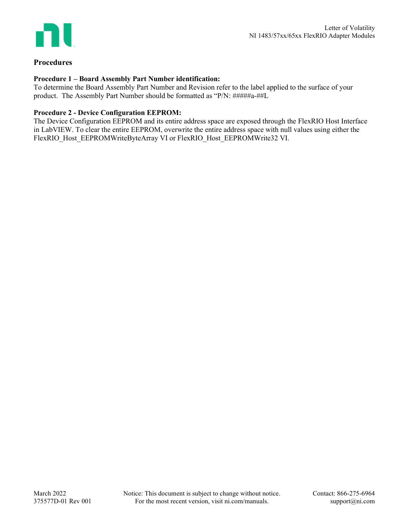

## Procedures

### Procedure 1 – Board Assembly Part Number identification:

To determine the Board Assembly Part Number and Revision refer to the label applied to the surface of your product. The Assembly Part Number should be formatted as "P/N: #####a-##L

#### Procedure 2 - Device Configuration EEPROM:

The Device Configuration EEPROM and its entire address space are exposed through the FlexRIO Host Interface in LabVIEW. To clear the entire EEPROM, overwrite the entire address space with null values using either the FlexRIO\_Host\_EEPROMWriteByteArray VI or FlexRIO\_Host\_EEPROMWrite32 VI.